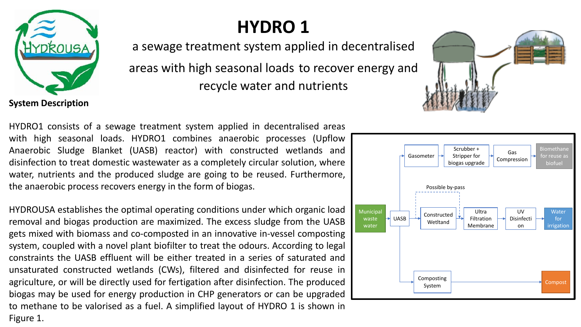

## **HYDRO 1**

a sewage treatment system applied in decentralised

areas with high seasonal loads to recover energy and recycle water and nutrients

**System Description**

HYDRO1 consists of a sewage treatment system applied in decentralised areas with high seasonal loads. HYDRO1 combines anaerobic processes (Upflow Anaerobic Sludge Blanket (UASB) reactor) with constructed wetlands and disinfection to treat domestic wastewater as a completely circular solution, where water, nutrients and the produced sludge are going to be reused. Furthermore, the anaerobic process recovers energy in the form of biogas.

HYDROUSA establishes the optimal operating conditions under which organic load removal and biogas production are maximized. The excess sludge from the UASB gets mixed with biomass and co-composted in an innovative in-vessel composting system, coupled with a novel plant biofilter to treat the odours. According to legal constraints the UASB effluent will be either treated in a series of saturated and unsaturated constructed wetlands (CWs), filtered and disinfected for reuse in agriculture, or will be directly used for fertigation after disinfection. The produced biogas may be used for energy production in CHP generators or can be upgraded to methane to be valorised as a fuel. A simplified layout of HYDRO 1 is shown in Figure 1.

Municipal waste water